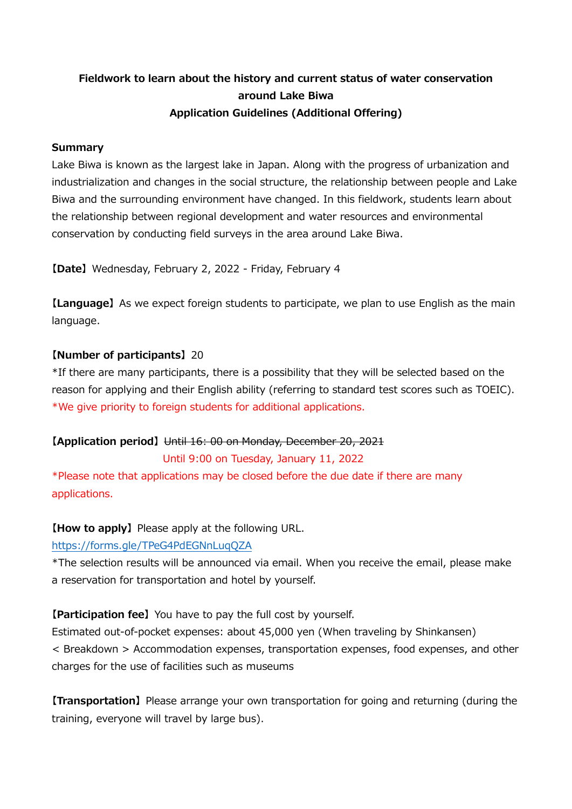# **Fieldwork to learn about the history and current status of water conservation around Lake Biwa Application Guidelines (Additional Offering)**

### **Summary**

Lake Biwa is known as the largest lake in Japan. Along with the progress of urbanization and industrialization and changes in the social structure, the relationship between people and Lake Biwa and the surrounding environment have changed. In this fieldwork, students learn about the relationship between regional development and water resources and environmental conservation by conducting field surveys in the area around Lake Biwa.

**【Date】** Wednesday, February 2, 2022 - Friday, February 4

**【Language】** As we expect foreign students to participate, we plan to use English as the main language.

### **【Number of participants】** 20

\*If there are many participants, there is a possibility that they will be selected based on the reason for applying and their English ability (referring to standard test scores such as TOEIC). \*We give priority to foreign students for additional applications.

#### **【Application period】** Until 16: 00 on Monday, December 20, 2021

Until 9:00 on Tuesday, January 11, 2022

\*Please note that applications may be closed before the due date if there are many applications.

#### **【How to apply】** Please apply at the following URL.

#### <https://forms.gle/TPeG4PdEGNnLuqQZA>

\*The selection results will be announced via email. When you receive the email, please make a reservation for transportation and hotel by yourself.

#### **【Participation fee】** You have to pay the full cost by yourself.

Estimated out-of-pocket expenses: about 45,000 yen (When traveling by Shinkansen) < Breakdown > Accommodation expenses, transportation expenses, food expenses, and other charges for the use of facilities such as museums

**【Transportation】** Please arrange your own transportation for going and returning (during the training, everyone will travel by large bus).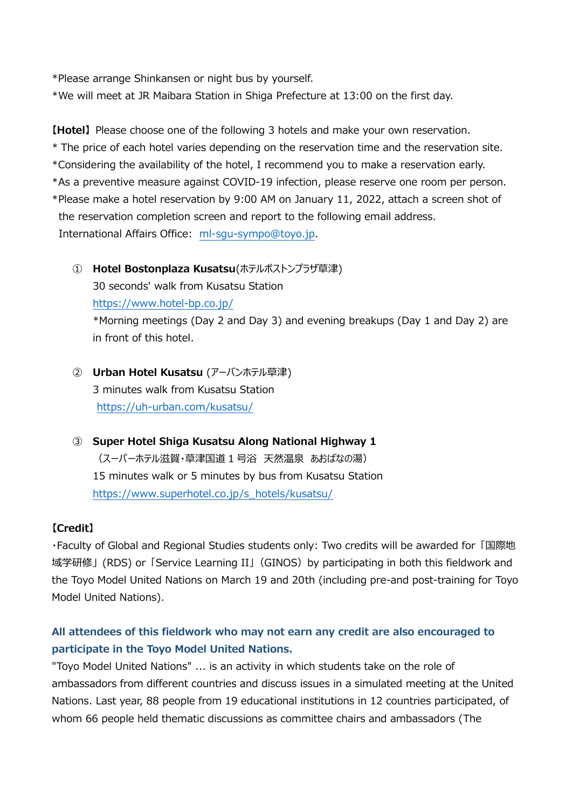\*Please arrange Shinkansen or night bus by yourself.

\*We will meet at JR Maibara Station in Shiga Prefecture at 13:00 on the first day.

**【Hotel】** Please choose one of the following 3 hotels and make your own reservation.

\* The price of each hotel varies depending on the reservation time and the reservation site.

\*Considering the availability of the hotel, I recommend you to make a reservation early.

\*As a preventive measure against COVID-19 infection, please reserve one room per person.

\*Please make a hotel reservation by 9:00 AM on January 11, 2022, attach a screen shot of the reservation completion screen and report to the following email address. International Affairs Office: [ml-sgu-sympo@toyo.jp.](mailto:ml-sgu-sympo@toyo.jp)

- ① **Hotel Bostonplaza Kusatsu**(ホテルボストンプラザ草津) 30 seconds' walk from Kusatsu Station <https://www.hotel-bp.co.jp/> \*Morning meetings (Day 2 and Day 3) and evening breakups (Day 1 and Day 2) are in front of this hotel.
- ② **Urban Hotel Kusatsu** (アーバンホテル草津) 3 minutes walk from Kusatsu Station <https://uh-urban.com/kusatsu/>
- ③ **Super Hotel Shiga Kusatsu Along National Highway 1** (スーパーホテル滋賀・草津国道 1 号浴 天然温泉 あおばなの湯) 15 minutes walk or 5 minutes by bus from Kusatsu Station [https://www.superhotel.co.jp/s\\_hotels/kusatsu/](https://www.superhotel.co.jp/s_hotels/kusatsu/)

## **【Credit】**

・Faculty of Global and Regional Studies students only: Two credits will be awarded for 「国際地 域学研修」 (RDS) or 「Service Learning II」(GINOS)by participating in both this fieldwork and the Toyo Model United Nations on March 19 and 20th (including pre-and post-training for Toyo Model United Nations).

# **All attendees of this fieldwork who may not earn any credit are also encouraged to participate in the Toyo Model United Nations.**

"Toyo Model United Nations" ... is an activity in which students take on the role of ambassadors from different countries and discuss issues in a simulated meeting at the United Nations. Last year, 88 people from 19 educational institutions in 12 countries participated, of whom 66 people held thematic discussions as committee chairs and ambassadors (The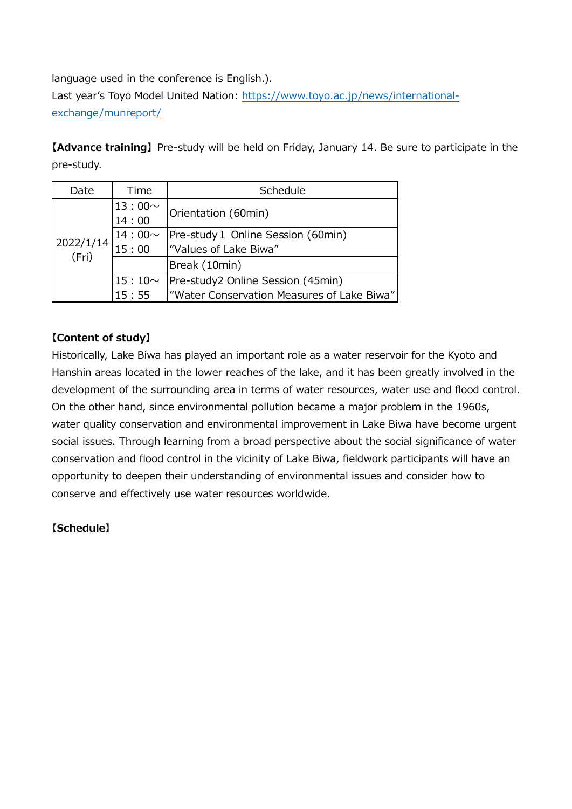language used in the conference is English.). Last year's Toyo Model United Nation: [https://www.toyo.ac.jp/news/international](https://www.toyo.ac.jp/news/international-exchange/munreport/)[exchange/munreport/](https://www.toyo.ac.jp/news/international-exchange/munreport/)

**【Advance training】** Pre-study will be held on Friday, January 14. Be sure to participate in the pre-study.

| Date               | Time                    | Schedule                                   |  |
|--------------------|-------------------------|--------------------------------------------|--|
| 2022/1/14<br>(Fri) | $13:00 \sim$<br>$14:00$ | Orientation (60min)                        |  |
|                    |                         |                                            |  |
|                    | $14:00\sim$             | Pre-study 1 Online Session (60min)         |  |
|                    | 15:00                   | "Values of Lake Biwa"                      |  |
|                    |                         | Break (10min)                              |  |
|                    | $15:10~\sim$            | Pre-study2 Online Session (45min)          |  |
|                    | 15:55                   | "Water Conservation Measures of Lake Biwa" |  |

## **【Content of study】**

Historically, Lake Biwa has played an important role as a water reservoir for the Kyoto and Hanshin areas located in the lower reaches of the lake, and it has been greatly involved in the development of the surrounding area in terms of water resources, water use and flood control. On the other hand, since environmental pollution became a major problem in the 1960s, water quality conservation and environmental improvement in Lake Biwa have become urgent social issues. Through learning from a broad perspective about the social significance of water conservation and flood control in the vicinity of Lake Biwa, fieldwork participants will have an opportunity to deepen their understanding of environmental issues and consider how to conserve and effectively use water resources worldwide.

## **【Schedule】**